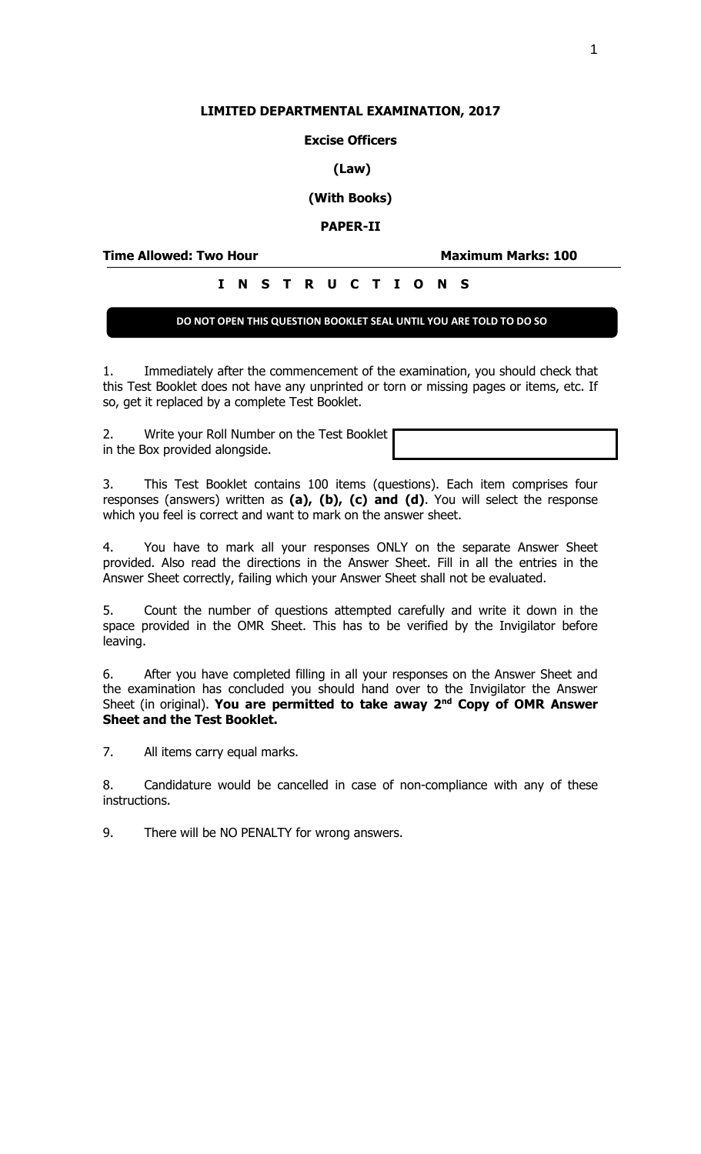### **LIMITED DEPARTMENTAL EXAMINATION, 2017**

### **Excise Officers**

### **(Law)**

# **(With Books)**

### **PAPER-II**

**Time Allowed: Two Hour Maximum Marks: 100**

# **I N S T R U C T I O N S**

## **DO NOT OPEN THIS QUESTION BOOKLET SEAL UNTIL YOU ARE TOLD TO DO SO**

1. Immediately after the commencement of the examination, you should check that this Test Booklet does not have any unprinted or torn or missing pages or items, etc. If so, get it replaced by a complete Test Booklet.

2. Write your Roll Number on the Test Booklet in the Box provided alongside.

3. This Test Booklet contains 100 items (questions). Each item comprises four responses (answers) written as **(a), (b), (c) and (d)**. You will select the response which you feel is correct and want to mark on the answer sheet.

4. You have to mark all your responses ONLY on the separate Answer Sheet provided. Also read the directions in the Answer Sheet. Fill in all the entries in the Answer Sheet correctly, failing which your Answer Sheet shall not be evaluated.

5. Count the number of questions attempted carefully and write it down in the space provided in the OMR Sheet. This has to be verified by the Invigilator before leaving.

6. After you have completed filling in all your responses on the Answer Sheet and the examination has concluded you should hand over to the Invigilator the Answer Sheet (in original). **You are permitted to take away 2nd Copy of OMR Answer Sheet and the Test Booklet.**

7. All items carry equal marks.

8. Candidature would be cancelled in case of non-compliance with any of these instructions.

9. There will be NO PENALTY for wrong answers.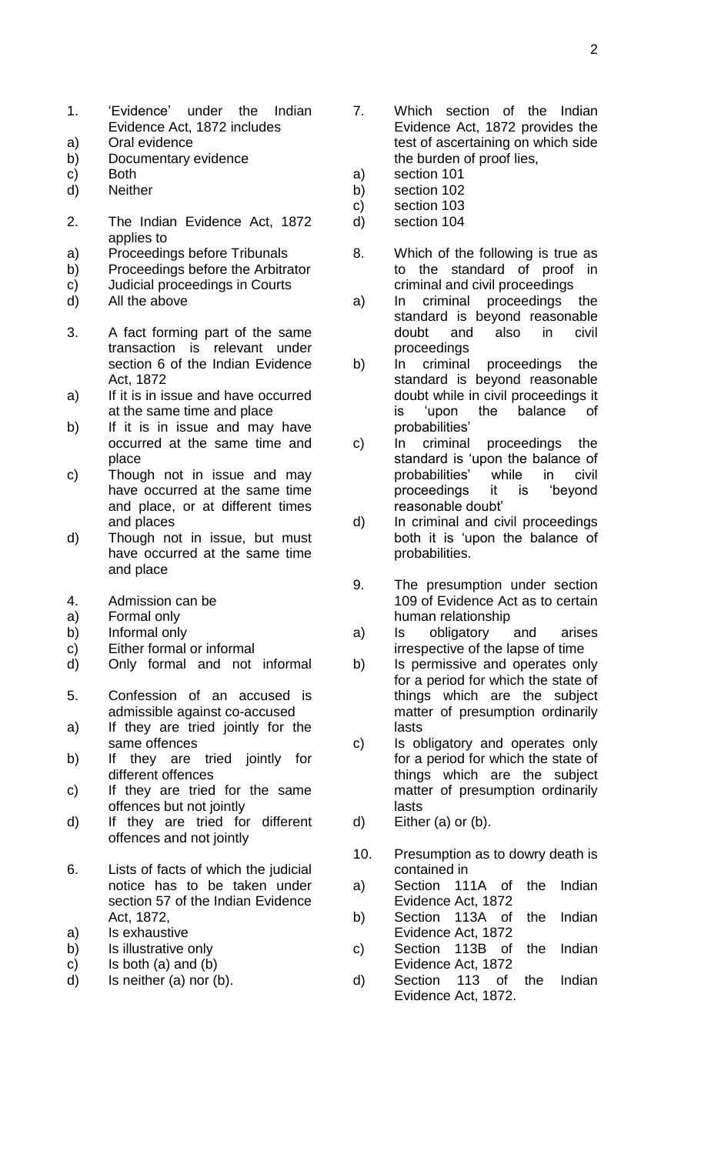- 1. 'Evidence' under the Indian Evidence Act, 1872 includes
- a) Oral evidence
- b) Documentary evidence
- c) Both
- d) Neither
- 2. The Indian Evidence Act, 1872 applies to
- a) Proceedings before Tribunals
- b) Proceedings before the Arbitrator
- c) Judicial proceedings in Courts
- d) All the above
- 3. A fact forming part of the same transaction is relevant under section 6 of the Indian Evidence Act, 1872
- a) If it is in issue and have occurred at the same time and place
- b) If it is in issue and may have occurred at the same time and place
- c) Though not in issue and may have occurred at the same time and place, or at different times and places
- d) Though not in issue, but must have occurred at the same time and place
- 4. Admission can be
- a) Formal only
- b) Informal only
- c) Either formal or informal
- d) Only formal and not informal
- 5. Confession of an accused is admissible against co-accused
- a) If they are tried jointly for the same offences
- b) If they are tried jointly for different offences
- c) If they are tried for the same offences but not jointly
- d) If they are tried for different offences and not jointly
- 6. Lists of facts of which the judicial notice has to be taken under section 57 of the Indian Evidence Act, 1872,
- a) Is exhaustive
- b) Is illustrative only
- c) Is both (a) and (b)
- d) Is neither (a) nor (b).
- 7. Which section of the Indian Evidence Act, 1872 provides the test of ascertaining on which side the burden of proof lies,
- a) section 101
- b) section 102
- c) section 103
- d) section 104
- 8. Which of the following is true as to the standard of proof in criminal and civil proceedings
- a) In criminal proceedings the standard is beyond reasonable doubt and also in civil proceedings
- b) In criminal proceedings the standard is beyond reasonable doubt while in civil proceedings it is 'upon the balance of probabilities'
- c) In criminal proceedings the standard is 'upon the balance of probabilities' while in civil proceedings it is 'beyond reasonable doubt'
- d) In criminal and civil proceedings both it is 'upon the balance of probabilities.
- 9. The presumption under section 109 of Evidence Act as to certain human relationship
- a) Is obligatory and arises irrespective of the lapse of time
- b) Is permissive and operates only for a period for which the state of things which are the subject matter of presumption ordinarily lasts
- c) Is obligatory and operates only for a period for which the state of things which are the subject matter of presumption ordinarily lasts
- d) Either (a) or (b).
- 10. Presumption as to dowry death is contained in
- a) Section 111A of the Indian Evidence Act, 1872
- b) Section 113A of the Indian Evidence Act, 1872
- c) Section 113B of the Indian Evidence Act, 1872
- d) Section 113 of the Indian Evidence Act, 1872.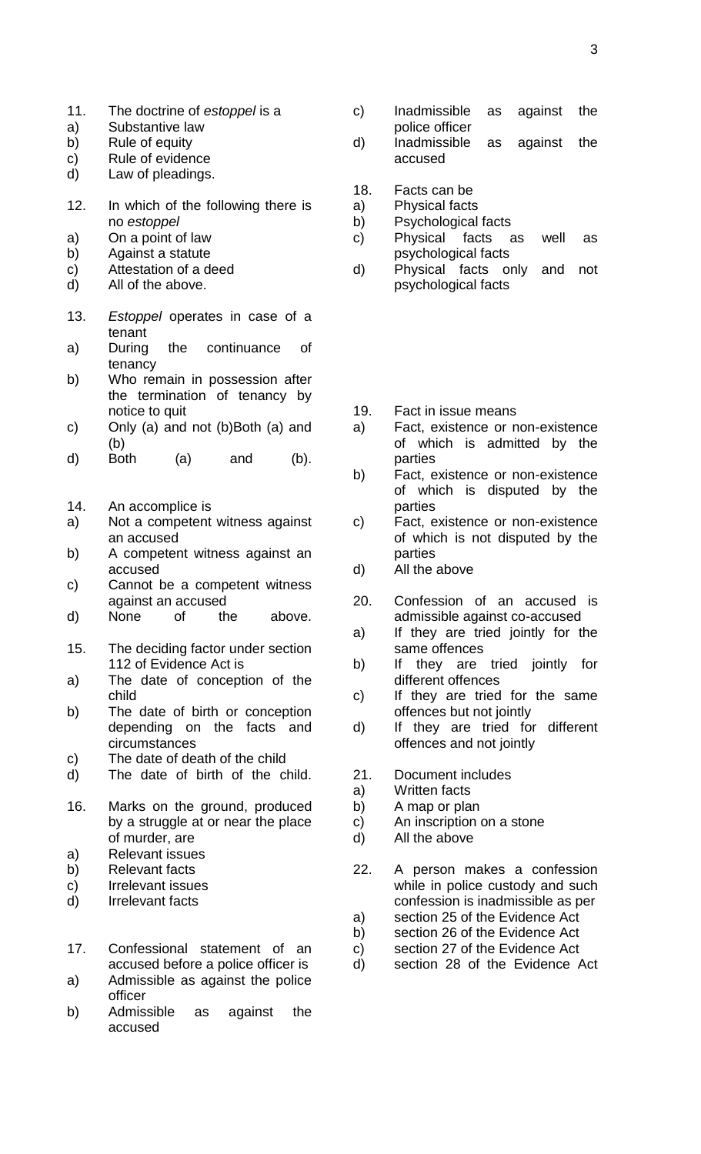- 11. The doctrine of *estoppel* is a
- a) Substantive law
- b) Rule of equity
- c) Rule of evidence
- d) Law of pleadings.
- 12. In which of the following there is no *estoppel*
- a) On a point of law
- b) Against a statute
- c) Attestation of a deed
- d) All of the above.
- 13. *Estoppel* operates in case of a tenant<br>During
- a) During the continuance of tenancy
- b) Who remain in possession after the termination of tenancy by notice to quit
- c) Only (a) and not (b)Both (a) and (b)
- d) Both (a) and (b).
- 14. An accomplice is
- a) Not a competent witness against an accused
- b) A competent witness against an accused
- c) Cannot be a competent witness against an accused
- d) None of the above.
- 15. The deciding factor under section 112 of Evidence Act is
- a) The date of conception of the child
- b) The date of birth or conception depending on the facts and circumstances
- c) The date of death of the child
- d) The date of birth of the child.
- 16. Marks on the ground, produced by a struggle at or near the place of murder, are
- a) Relevant issues
- b) Relevant facts
- c) Irrelevant issues
- d) Irrelevant facts
- 17. Confessional statement of an accused before a police officer is a) Admissible as against the police
- officer
- b) Admissible as against the accused
- c) Inadmissible as against the police officer
- d) Inadmissible as against the accused
- 18. Facts can be
- a) Physical facts
- b) Psychological facts
- c) Physical facts as well as psychological facts
- d) Physical facts only and not psychological facts
- 19. Fact in issue means
- a) Fact, existence or non-existence of which is admitted by the parties
- b) Fact, existence or non-existence of which is disputed by the parties
- c) Fact, existence or non-existence of which is not disputed by the parties
- d) All the above
- 20. Confession of an accused is admissible against co-accused
- a) If they are tried jointly for the same offences
- b) If they are tried jointly for different offences
- c) If they are tried for the same offences but not jointly
- d) If they are tried for different offences and not jointly
- 21. Document includes
- a) Written facts
- b) A map or plan
- c) An inscription on a stone
- d) All the above
- 22. A person makes a confession while in police custody and such confession is inadmissible as per
- a) section 25 of the Evidence Act
- b) section 26 of the Evidence Act
- c) section 27 of the Evidence Act
- d) section 28 of the Evidence Act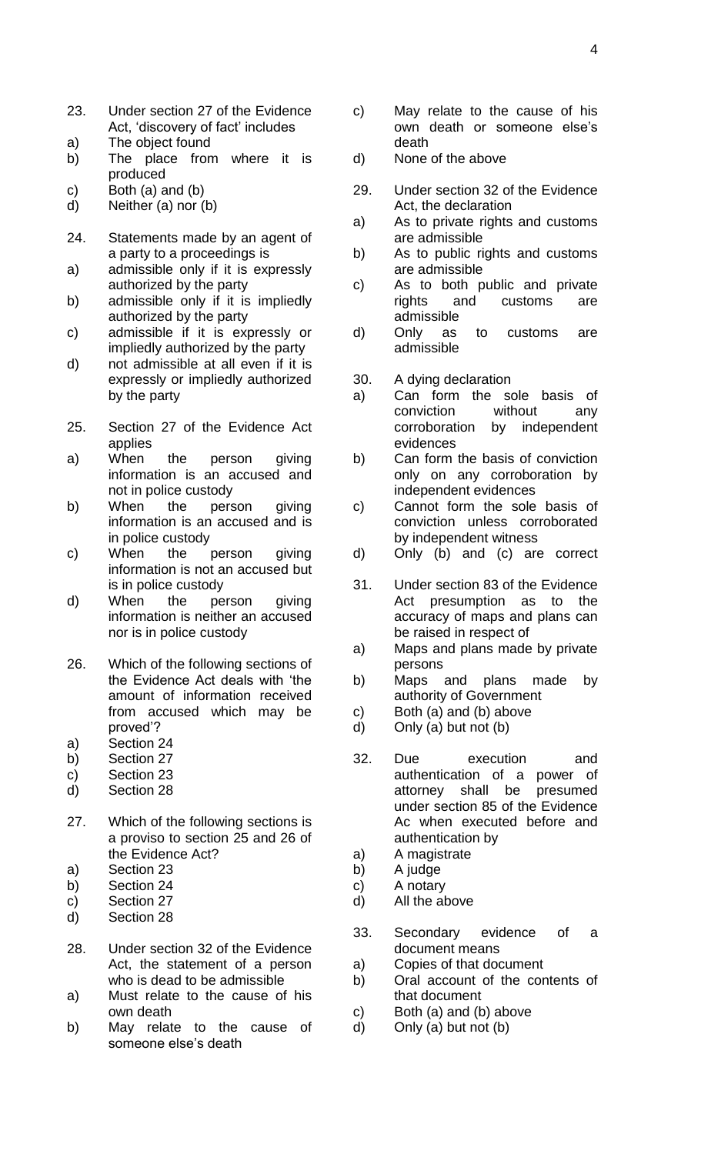- 23. Under section 27 of the Evidence Act, 'discovery of fact' includes
- a) The object found
- b) The place from where it is produced
- c) Both (a) and (b)
- d) Neither (a) nor (b)
- 24. Statements made by an agent of a party to a proceedings is
- a) admissible only if it is expressly authorized by the party
- b) admissible only if it is impliedly authorized by the party
- c) admissible if it is expressly or impliedly authorized by the party
- d) not admissible at all even if it is expressly or impliedly authorized by the party
- 25. Section 27 of the Evidence Act applies
- a) When the person giving information is an accused and not in police custody
- b) When the person giving information is an accused and is in police custody
- c) When the person giving information is not an accused but is in police custody
- d) When the person giving information is neither an accused nor is in police custody
- 26. Which of the following sections of the Evidence Act deals with 'the amount of information received from accused which may be proved'?
- a) Section 24
- b) Section 27
- c) Section 23
- d) Section 28
- 27. Which of the following sections is a proviso to section 25 and 26 of the Evidence Act?
- a) Section 23
- b) Section 24
- c) Section 27
- d) Section 28
- 28. Under section 32 of the Evidence Act, the statement of a person who is dead to be admissible
- a) Must relate to the cause of his own death
- b) May relate to the cause of someone else's death
- c) May relate to the cause of his own death or someone else's death
- d) None of the above
- 29. Under section 32 of the Evidence Act, the declaration
- a) As to private rights and customs are admissible
- b) As to public rights and customs are admissible
- c) As to both public and private rights and customs are admissible
- d) Only as to customs are admissible
- 30. A dying declaration
- a) Can form the sole basis of conviction without any corroboration by independent evidences
- b) Can form the basis of conviction only on any corroboration by independent evidences
- c) Cannot form the sole basis of conviction unless corroborated by independent witness
- d) Only (b) and (c) are correct
- 31. Under section 83 of the Evidence Act presumption as to the accuracy of maps and plans can be raised in respect of
- a) Maps and plans made by private persons
- b) Maps and plans made by authority of Government
- c) Both (a) and (b) above
- d) Only (a) but not (b)
- 32. Due execution and authentication of a power of attorney shall be presumed under section 85 of the Evidence Ac when executed before and authentication by
- a) A magistrate
- b) A judge
- c) A notary
- d) All the above
- 33. Secondary evidence of a document means
- a) Copies of that document
- b) Oral account of the contents of that document
- c) Both (a) and (b) above
- d) Only (a) but not (b)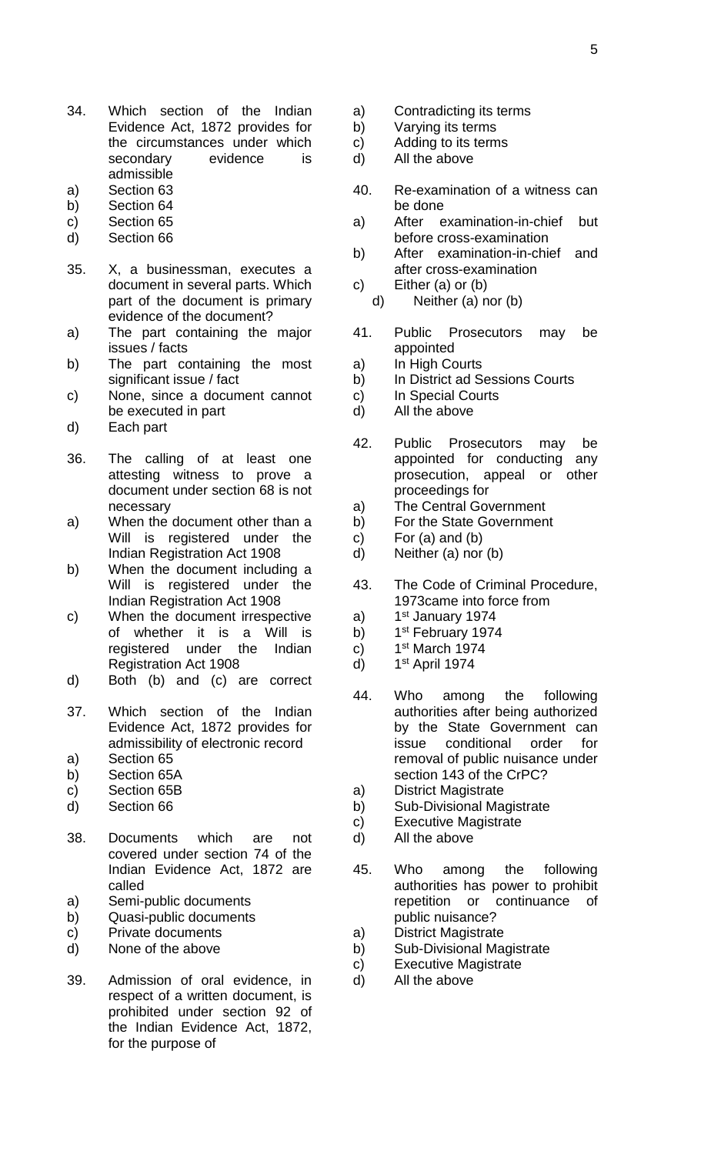- 34. Which section of the Indian Evidence Act, 1872 provides for the circumstances under which secondary evidence is admissible
- a) Section 63
- b) Section 64
- c) Section 65
- d) Section 66
- 35. X, a businessman, executes a document in several parts. Which part of the document is primary evidence of the document?
- a) The part containing the major issues / facts
- b) The part containing the most significant issue / fact
- c) None, since a document cannot be executed in part
- d) Each part
- 36. The calling of at least one attesting witness to prove a document under section 68 is not necessary
- a) When the document other than a Will is registered under the Indian Registration Act 1908
- b) When the document including a Will is registered under the Indian Registration Act 1908
- c) When the document irrespective of whether it is a Will is registered under the Indian Registration Act 1908
- d) Both (b) and (c) are correct
- 37. Which section of the Indian Evidence Act, 1872 provides for admissibility of electronic record
- a) Section 65
- b) Section 65A
- c) Section 65B
- d) Section 66
- 38. Documents which are not covered under section 74 of the Indian Evidence Act, 1872 are called
- a) Semi-public documents
- b) Quasi-public documents
- c) Private documents
- d) None of the above
- 39. Admission of oral evidence, in respect of a written document, is prohibited under section 92 of the Indian Evidence Act, 1872, for the purpose of
- a) Contradicting its terms
- b) Varying its terms
- c) Adding to its terms
- d) All the above
- 40. Re-examination of a witness can be done
- a) After examination-in-chief but before cross-examination
- b) After examination-in-chief and after cross-examination
- c) Either (a) or (b) d) Neither (a) nor (b)
- 41. Public Prosecutors may be appointed
- a) In High Courts
- b) In District ad Sessions Courts
- c) In Special Courts
- d) All the above
- 42. Public Prosecutors may be appointed for conducting any prosecution, appeal or other proceedings for
- a) The Central Government
- b) For the State Government
- c) For  $(a)$  and  $(b)$
- d) Neither (a) nor (b)
- 43. The Code of Criminal Procedure, 1973came into force from
- a) 1st January 1974
- b) 1<sup>st</sup> February 1974
- c) 1st March 1974
- d) 1 1<sup>st</sup> April 1974
- 44. Who among the following authorities after being authorized by the State Government can issue conditional order for removal of public nuisance under section 143 of the CrPC?
- a) District Magistrate
- b) Sub-Divisional Magistrate
- c) Executive Magistrate
- d) All the above
- 45. Who among the following authorities has power to prohibit repetition or continuance of public nuisance?
- a) District Magistrate
- b) Sub-Divisional Magistrate
- c) Executive Magistrate
- d) All the above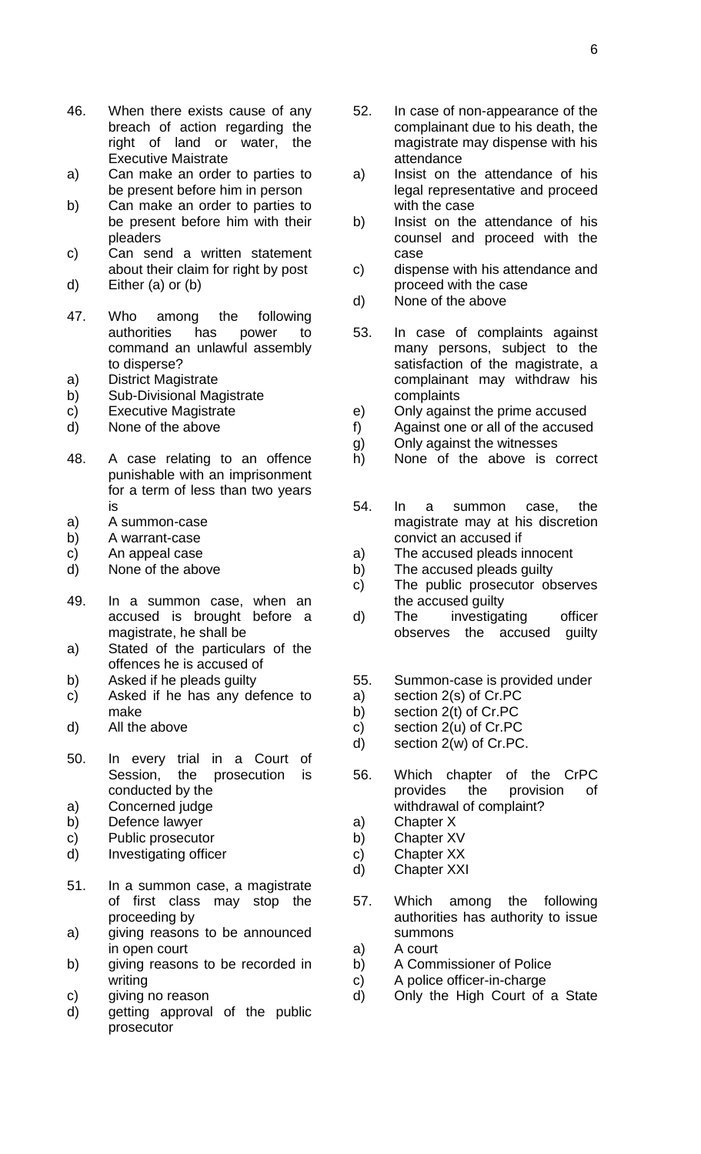- 46. When there exists cause of any breach of action regarding the right of land or water, the Executive Maistrate
- a) Can make an order to parties to be present before him in person
- b) Can make an order to parties to be present before him with their pleaders
- c) Can send a written statement about their claim for right by post
- d) Either (a) or (b)
- 47. Who among the following authorities has power to command an unlawful assembly to disperse?
- a) District Magistrate
- b) Sub-Divisional Magistrate
- c) Executive Magistrate
- d) None of the above
- 48. A case relating to an offence punishable with an imprisonment for a term of less than two years is
- a) A summon-case
- b) A warrant-case
- c) An appeal case
- d) None of the above
- 49. In a summon case, when an accused is brought before a magistrate, he shall be
- a) Stated of the particulars of the offences he is accused of
- b) Asked if he pleads guilty
- c) Asked if he has any defence to make
- d) All the above
- 50. In every trial in a Court of Session, the prosecution is conducted by the
- a) Concerned judge
- b) Defence lawyer
- c) Public prosecutor
- d) Investigating officer
- 51. In a summon case, a magistrate of first class may stop the proceeding by
- a) giving reasons to be announced in open court
- b) giving reasons to be recorded in writing
- c) giving no reason
- d) getting approval of the public prosecutor
- 52. In case of non-appearance of the complainant due to his death, the magistrate may dispense with his attendance
- a) Insist on the attendance of his legal representative and proceed with the case
- b) Insist on the attendance of his counsel and proceed with the case
- c) dispense with his attendance and proceed with the case
- d) None of the above
- 53. In case of complaints against many persons, subject to the satisfaction of the magistrate, a complainant may withdraw his complaints
- e) Only against the prime accused
- f) Against one or all of the accused
- g) Only against the witnesses
- h) None of the above is correct
- 54. In a summon case, the magistrate may at his discretion convict an accused if
- a) The accused pleads innocent
- b) The accused pleads guilty
- c) The public prosecutor observes the accused guilty
- d) The investigating officer observes the accused guilty
- 55. Summon-case is provided under
- a) section 2(s) of Cr.PC
- b) section 2(t) of Cr.PC
- c) section 2(u) of Cr.PC
- d) section 2(w) of Cr.PC.
- 56. Which chapter of the CrPC provides the provision of withdrawal of complaint?
- a) Chapter X
- b) Chapter XV
- c) Chapter XX
- d) Chapter XXI
- 57. Which among the following authorities has authority to issue summons
- a) A court
- b) A Commissioner of Police
- c) A police officer-in-charge
- d) Only the High Court of a State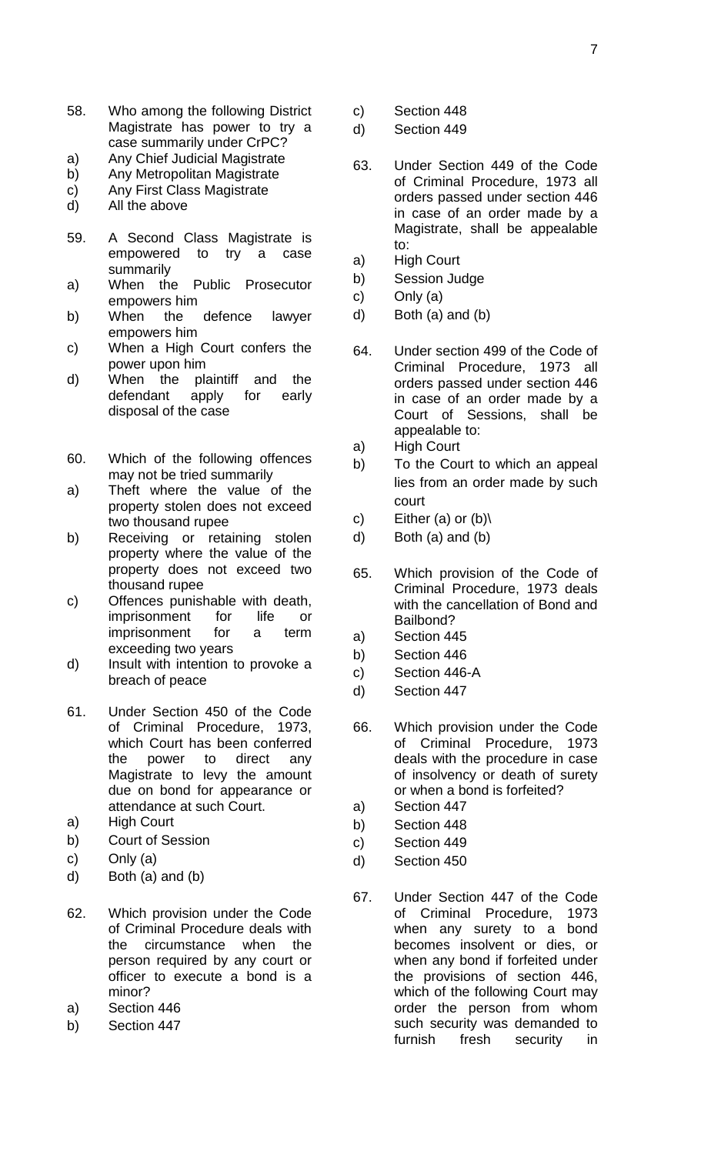- 58. Who among the following District Magistrate has power to try a case summarily under CrPC?
- a) Any Chief Judicial Magistrate
- b) Any Metropolitan Magistrate
- c) Any First Class Magistrate
- d) All the above
- 59. A Second Class Magistrate is empowered to try a case summarily
- a) When the Public Prosecutor empowers him
- b) When the defence lawyer empowers him
- c) When a High Court confers the power upon him
- d) When the plaintiff and the defendant apply for early disposal of the case
- 60. Which of the following offences may not be tried summarily
- a) Theft where the value of the property stolen does not exceed two thousand rupee
- b) Receiving or retaining stolen property where the value of the property does not exceed two thousand rupee
- c) Offences punishable with death, imprisonment for life or imprisonment for a term exceeding two years
- d) Insult with intention to provoke a breach of peace
- 61. Under Section 450 of the Code of Criminal Procedure, 1973, which Court has been conferred the power to direct any Magistrate to levy the amount due on bond for appearance or attendance at such Court.
- a) High Court
- b) Court of Session
- c) Only (a)
- d) Both (a) and (b)
- 62. Which provision under the Code of Criminal Procedure deals with the circumstance when the person required by any court or officer to execute a bond is a minor?
- a) Section 446
- b) Section 447
- c) Section 448
- d) Section 449
- 63. Under Section 449 of the Code of Criminal Procedure, 1973 all orders passed under section 446 in case of an order made by a Magistrate, shall be appealable to:
- a) High Court
- b) Session Judge
- c) Only (a)
- d) Both (a) and (b)
- 64. Under section 499 of the Code of Criminal Procedure, 1973 all orders passed under section 446 in case of an order made by a Court of Sessions, shall be appealable to:
- a) High Court
- b) To the Court to which an appeal lies from an order made by such court
- c) Either (a) or  $(b)$
- d) Both (a) and (b)
- 65. Which provision of the Code of Criminal Procedure, 1973 deals with the cancellation of Bond and Bailbond?
- a) Section 445
- b) Section 446
- c) Section 446-A
- d) Section 447
- 66. Which provision under the Code of Criminal Procedure, 1973 deals with the procedure in case of insolvency or death of surety or when a bond is forfeited?
- a) Section 447
- b) Section 448
- c) Section 449
- d) Section 450
- 67. Under Section 447 of the Code of Criminal Procedure, 1973 when any surety to a bond becomes insolvent or dies, or when any bond if forfeited under the provisions of section 446, which of the following Court may order the person from whom such security was demanded to furnish fresh security in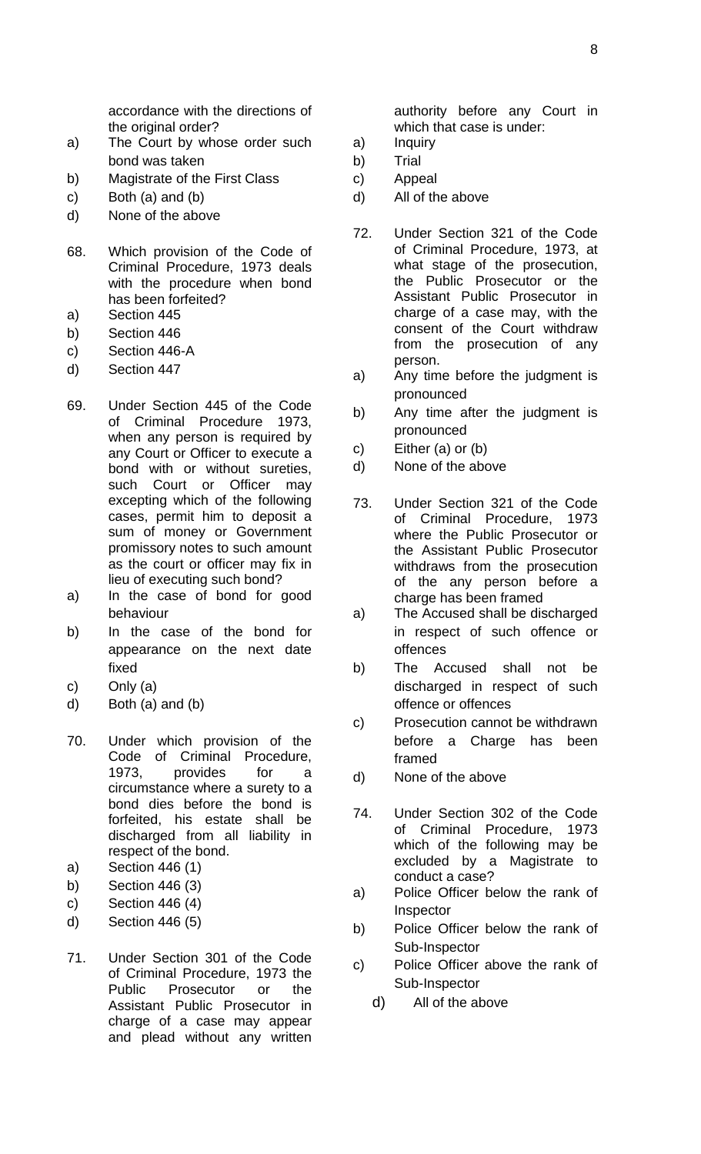accordance with the directions of the original order?

- a) The Court by whose order such bond was taken
- b) Magistrate of the First Class
- c) Both (a) and (b)
- d) None of the above
- 68. Which provision of the Code of Criminal Procedure, 1973 deals with the procedure when bond has been forfeited?
- a) Section 445
- b) Section 446
- c) Section 446-A
- d) Section 447
- 69. Under Section 445 of the Code of Criminal Procedure 1973, when any person is required by any Court or Officer to execute a bond with or without sureties, such Court or Officer may excepting which of the following cases, permit him to deposit a sum of money or Government promissory notes to such amount as the court or officer may fix in lieu of executing such bond?
- a) In the case of bond for good behaviour
- b) In the case of the bond for appearance on the next date fixed
- c) Only (a)
- d) Both (a) and (b)
- 70. Under which provision of the Code of Criminal Procedure, 1973, provides for a circumstance where a surety to a bond dies before the bond is forfeited, his estate shall be discharged from all liability in respect of the bond.
- a) Section 446 (1)
- b) Section 446 (3)
- c) Section 446 (4)
- d) Section 446 (5)
- 71. Under Section 301 of the Code of Criminal Procedure, 1973 the Public Prosecutor or the Assistant Public Prosecutor in charge of a case may appear and plead without any written

authority before any Court in which that case is under:

- a) Inquiry
- b) Trial
- c) Appeal
- d) All of the above
- 72. Under Section 321 of the Code of Criminal Procedure, 1973, at what stage of the prosecution, the Public Prosecutor or the Assistant Public Prosecutor in charge of a case may, with the consent of the Court withdraw from the prosecution of any person.
- a) Any time before the judgment is pronounced
- b) Any time after the judgment is pronounced
- c) Either (a) or (b)
- d) None of the above
- 73. Under Section 321 of the Code of Criminal Procedure, 1973 where the Public Prosecutor or the Assistant Public Prosecutor withdraws from the prosecution of the any person before a charge has been framed
- a) The Accused shall be discharged in respect of such offence or offences
- b) The Accused shall not be discharged in respect of such offence or offences
- c) Prosecution cannot be withdrawn before a Charge has been framed
- d) None of the above
- 74. Under Section 302 of the Code of Criminal Procedure, 1973 which of the following may be excluded by a Magistrate to conduct a case?
- a) Police Officer below the rank of Inspector
- b) Police Officer below the rank of Sub-Inspector
- c) Police Officer above the rank of Sub-Inspector
	- d) All of the above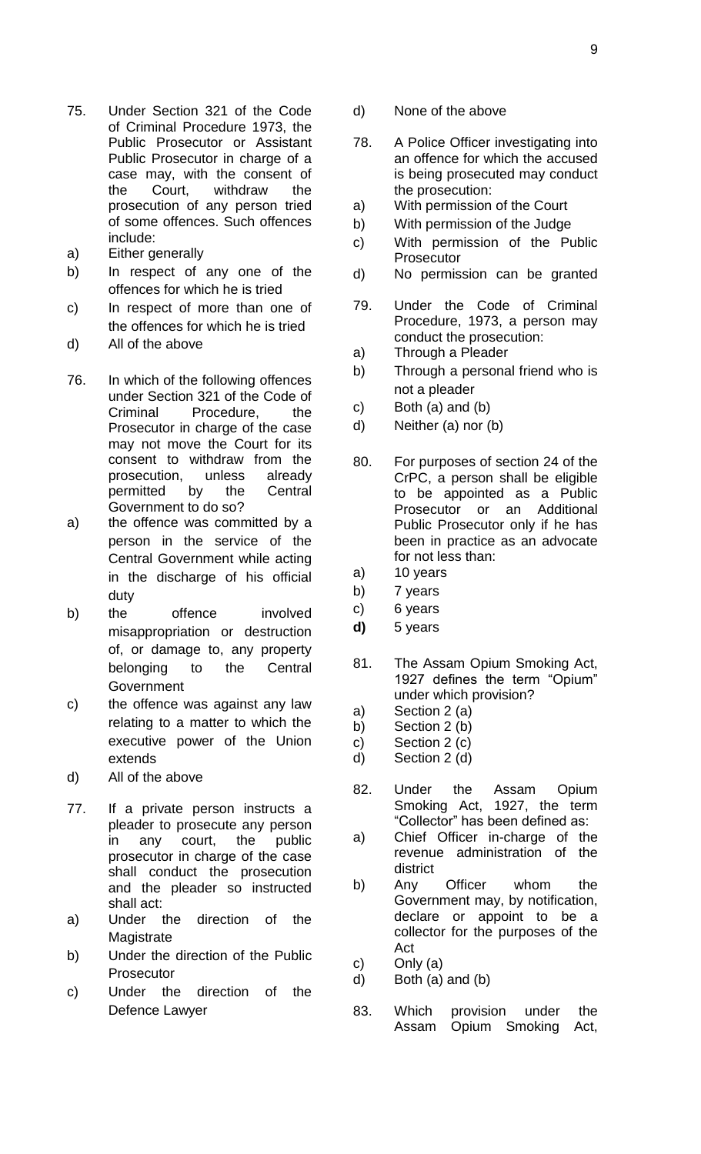- 75. Under Section 321 of the Code of Criminal Procedure 1973, the Public Prosecutor or Assistant Public Prosecutor in charge of a case may, with the consent of the Court, withdraw the prosecution of any person tried of some offences. Such offences include:
- a) Either generally
- b) In respect of any one of the offences for which he is tried
- c) In respect of more than one of the offences for which he is tried
- d) All of the above
- 76. In which of the following offences under Section 321 of the Code of Criminal Procedure, the Prosecutor in charge of the case may not move the Court for its consent to withdraw from the prosecution, unless already permitted by the Central Government to do so?
- a) the offence was committed by a person in the service of the Central Government while acting in the discharge of his official duty
- b) the offence involved misappropriation or destruction of, or damage to, any property belonging to the Central Government
- c) the offence was against any law relating to a matter to which the executive power of the Union extends
- d) All of the above
- 77. If a private person instructs a pleader to prosecute any person in any court, the public prosecutor in charge of the case shall conduct the prosecution and the pleader so instructed shall act:
- a) Under the direction of the **Magistrate**
- b) Under the direction of the Public **Prosecutor**
- c) Under the direction of the Defence Lawyer
- d) None of the above
- 78. A Police Officer investigating into an offence for which the accused is being prosecuted may conduct the prosecution:
- a) With permission of the Court
- b) With permission of the Judge
- c) With permission of the Public **Prosecutor**
- d) No permission can be granted
- 79. Under the Code of Criminal Procedure, 1973, a person may conduct the prosecution:
- a) Through a Pleader
- b) Through a personal friend who is not a pleader
- c) Both  $(a)$  and  $(b)$
- d) Neither (a) nor (b)
- 80. For purposes of section 24 of the CrPC, a person shall be eligible to be appointed as a Public Prosecutor or an Additional Public Prosecutor only if he has been in practice as an advocate for not less than:
- a) 10 years
- b) 7 years
- c) 6 years
- **d)** 5 years
- 81. The Assam Opium Smoking Act, 1927 defines the term "Opium" under which provision?
- a) Section 2 (a)
- b) Section 2 (b)
- c) Section 2 (c) d) Section 2 (d)
- 82. Under the Assam Opium Smoking Act, 1927, the term "Collector" has been defined as:
- a) Chief Officer in-charge of the revenue administration of the district
- b) Any Officer whom the Government may, by notification, declare or appoint to be a collector for the purposes of the Act
- c) Only (a)
- d) Both (a) and (b)
- 83. Which provision under the Assam Opium Smoking Act,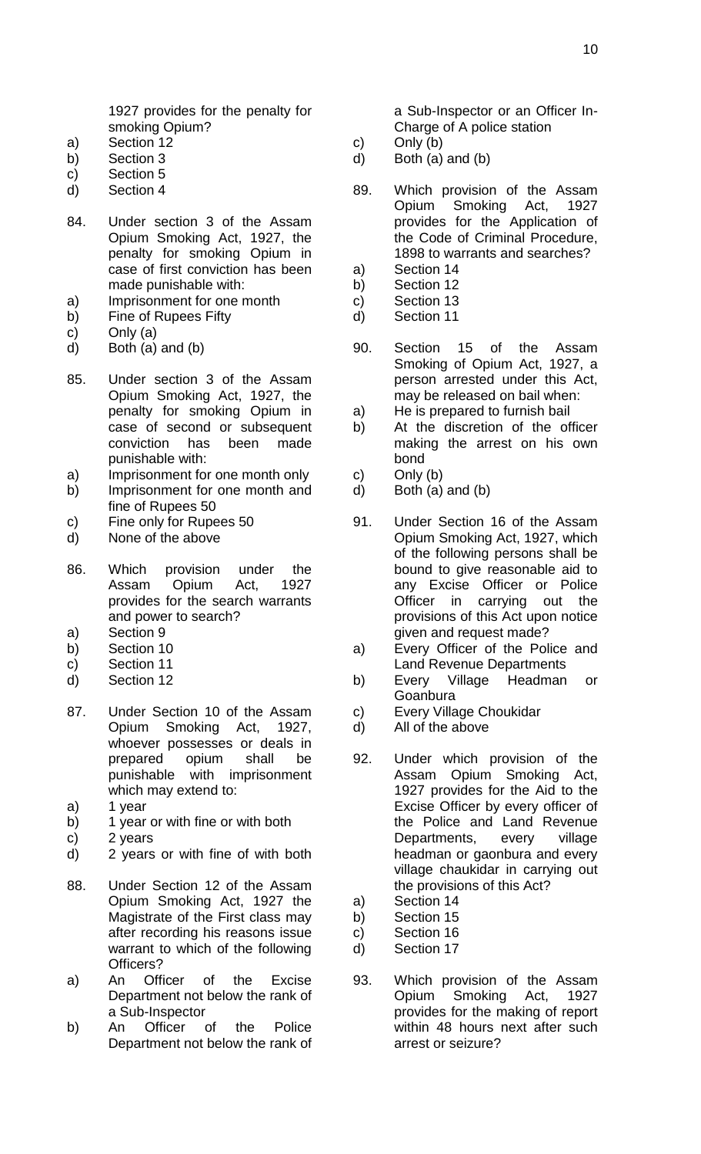1927 provides for the penalty for smoking Opium?

- a) Section 12
- b) Section 3
- c) Section 5
- d) Section 4
- 84. Under section 3 of the Assam Opium Smoking Act, 1927, the penalty for smoking Opium in case of first conviction has been made punishable with:
- a) Imprisonment for one month
- b) Fine of Rupees Fifty
- c) Only (a)
- d) Both (a) and (b)
- 85. Under section 3 of the Assam Opium Smoking Act, 1927, the penalty for smoking Opium in case of second or subsequent conviction has been made punishable with:
- a) Imprisonment for one month only
- b) Imprisonment for one month and fine of Rupees 50
- c) Fine only for Rupees 50
- d) None of the above
- 86. Which provision under the Assam Opium Act, 1927 provides for the search warrants and power to search?
- a) Section 9
- b) Section 10
- c) Section 11
- d) Section 12
- 87. Under Section 10 of the Assam Opium Smoking Act, 1927, whoever possesses or deals in prepared opium shall be punishable with imprisonment which may extend to:
- a) 1 year
- b) 1 year or with fine or with both
- c) 2 years
- d) 2 years or with fine of with both
- 88. Under Section 12 of the Assam Opium Smoking Act, 1927 the Magistrate of the First class may after recording his reasons issue warrant to which of the following Officers?
- a) An Officer of the Excise Department not below the rank of a Sub-Inspector
- b) An Officer of the Police Department not below the rank of

a Sub-Inspector or an Officer In-Charge of A police station

- c) Only (b)
- d) Both (a) and (b)
- 89. Which provision of the Assam Opium Smoking Act, 1927 provides for the Application of the Code of Criminal Procedure, 1898 to warrants and searches?
- a) Section 14
- b) Section 12
- c) Section 13 d) Section 11
- 
- 90. Section 15 of the Assam Smoking of Opium Act, 1927, a person arrested under this Act, may be released on bail when:
- a) He is prepared to furnish bail
- b) At the discretion of the officer making the arrest on his own bond
- c) Only (b)
- d) Both (a) and (b)
- 91. Under Section 16 of the Assam Opium Smoking Act, 1927, which of the following persons shall be bound to give reasonable aid to any Excise Officer or Police Officer in carrying out the provisions of this Act upon notice given and request made?
- a) Every Officer of the Police and Land Revenue Departments
- b) Every Village Headman or Goanbura
- c) Every Village Choukidar
- d) All of the above
- 92. Under which provision of the Assam Opium Smoking Act, 1927 provides for the Aid to the Excise Officer by every officer of the Police and Land Revenue Departments, every village headman or gaonbura and every village chaukidar in carrying out the provisions of this Act?
- a) Section 14
- b) Section 15
- c) Section 16
- d) Section 17
- 93. Which provision of the Assam Opium Smoking Act, 1927 provides for the making of report within 48 hours next after such arrest or seizure?